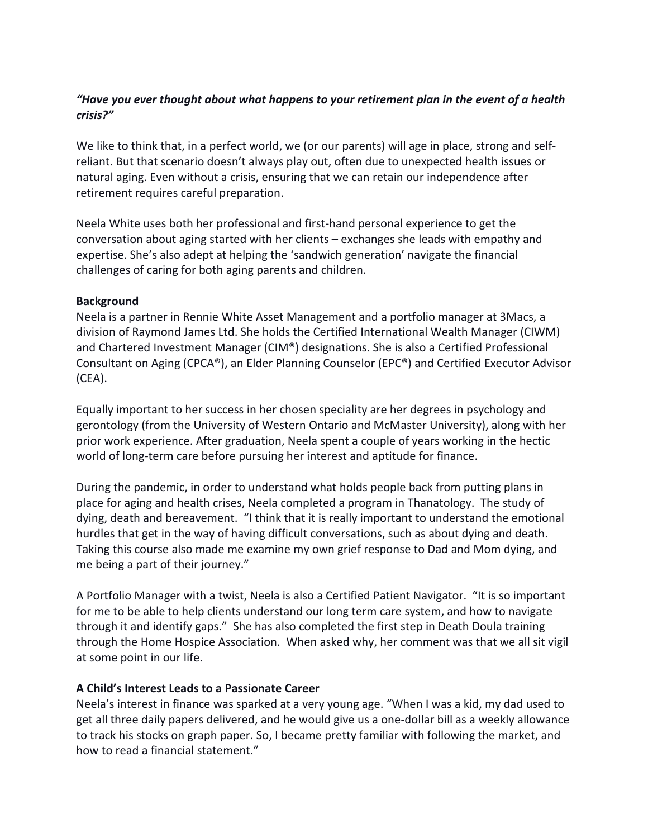# *"Have you ever thought about what happens to your retirement plan in the event of a health crisis?"*

We like to think that, in a perfect world, we (or our parents) will age in place, strong and selfreliant. But that scenario doesn't always play out, often due to unexpected health issues or natural aging. Even without a crisis, ensuring that we can retain our independence after retirement requires careful preparation.

Neela White uses both her professional and first-hand personal experience to get the conversation about aging started with her clients – exchanges she leads with empathy and expertise. She's also adept at helping the 'sandwich generation' navigate the financial challenges of caring for both aging parents and children.

#### **Background**

Neela is a partner in Rennie White Asset Management and a portfolio manager at 3Macs, a division of Raymond James Ltd. She holds the Certified International Wealth Manager (CIWM) and Chartered Investment Manager (CIM®) designations. She is also a Certified Professional Consultant on Aging (CPCA®), an Elder Planning Counselor (EPC®) and Certified Executor Advisor (CEA).

Equally important to her success in her chosen speciality are her degrees in psychology and gerontology (from the University of Western Ontario and McMaster University), along with her prior work experience. After graduation, Neela spent a couple of years working in the hectic world of long-term care before pursuing her interest and aptitude for finance.

During the pandemic, in order to understand what holds people back from putting plans in place for aging and health crises, Neela completed a program in Thanatology. The study of dying, death and bereavement. "I think that it is really important to understand the emotional hurdles that get in the way of having difficult conversations, such as about dying and death. Taking this course also made me examine my own grief response to Dad and Mom dying, and me being a part of their journey."

A Portfolio Manager with a twist, Neela is also a Certified Patient Navigator. "It is so important for me to be able to help clients understand our long term care system, and how to navigate through it and identify gaps." She has also completed the first step in Death Doula training through the Home Hospice Association. When asked why, her comment was that we all sit vigil at some point in our life.

# **A Child's Interest Leads to a Passionate Career**

Neela's interest in finance was sparked at a very young age. "When I was a kid, my dad used to get all three daily papers delivered, and he would give us a one-dollar bill as a weekly allowance to track his stocks on graph paper. So, I became pretty familiar with following the market, and how to read a financial statement."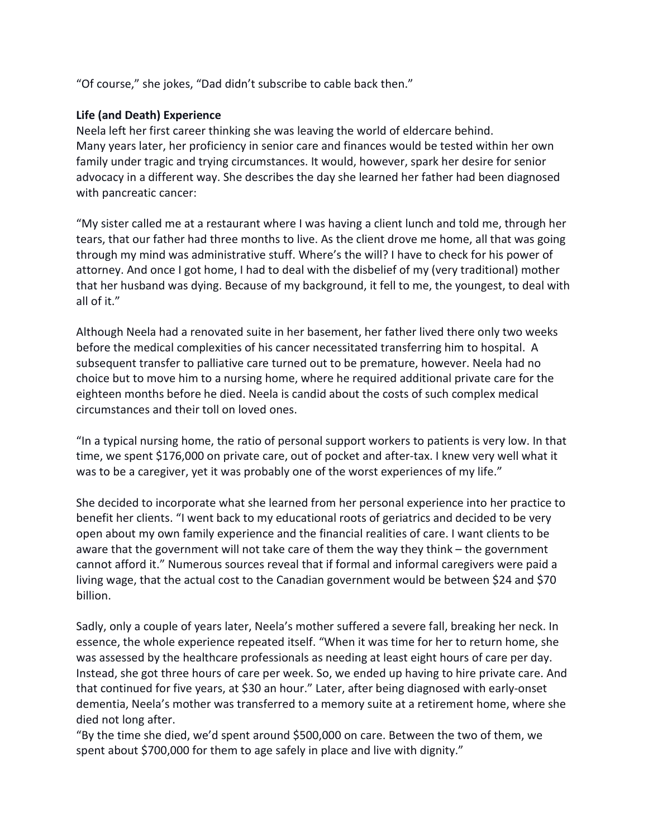"Of course," she jokes, "Dad didn't subscribe to cable back then."

### **Life (and Death) Experience**

Neela left her first career thinking she was leaving the world of eldercare behind. Many years later, her proficiency in senior care and finances would be tested within her own family under tragic and trying circumstances. It would, however, spark her desire for senior advocacy in a different way. She describes the day she learned her father had been diagnosed with pancreatic cancer:

"My sister called me at a restaurant where I was having a client lunch and told me, through her tears, that our father had three months to live. As the client drove me home, all that was going through my mind was administrative stuff. Where's the will? I have to check for his power of attorney. And once I got home, I had to deal with the disbelief of my (very traditional) mother that her husband was dying. Because of my background, it fell to me, the youngest, to deal with all of it."

Although Neela had a renovated suite in her basement, her father lived there only two weeks before the medical complexities of his cancer necessitated transferring him to hospital. A subsequent transfer to palliative care turned out to be premature, however. Neela had no choice but to move him to a nursing home, where he required additional private care for the eighteen months before he died. Neela is candid about the costs of such complex medical circumstances and their toll on loved ones.

"In a typical nursing home, the ratio of personal support workers to patients is very low. In that time, we spent \$176,000 on private care, out of pocket and after-tax. I knew very well what it was to be a caregiver, yet it was probably one of the worst experiences of my life."

She decided to incorporate what she learned from her personal experience into her practice to benefit her clients. "I went back to my educational roots of geriatrics and decided to be very open about my own family experience and the financial realities of care. I want clients to be aware that the government will not take care of them the way they think – the government cannot afford it." Numerous sources reveal that if formal and informal caregivers were paid a living wage, that the actual cost to the Canadian government would be between \$24 and \$70 billion.

Sadly, only a couple of years later, Neela's mother suffered a severe fall, breaking her neck. In essence, the whole experience repeated itself. "When it was time for her to return home, she was assessed by the healthcare professionals as needing at least eight hours of care per day. Instead, she got three hours of care per week. So, we ended up having to hire private care. And that continued for five years, at \$30 an hour." Later, after being diagnosed with early-onset dementia, Neela's mother was transferred to a memory suite at a retirement home, where she died not long after.

"By the time she died, we'd spent around \$500,000 on care. Between the two of them, we spent about \$700,000 for them to age safely in place and live with dignity."